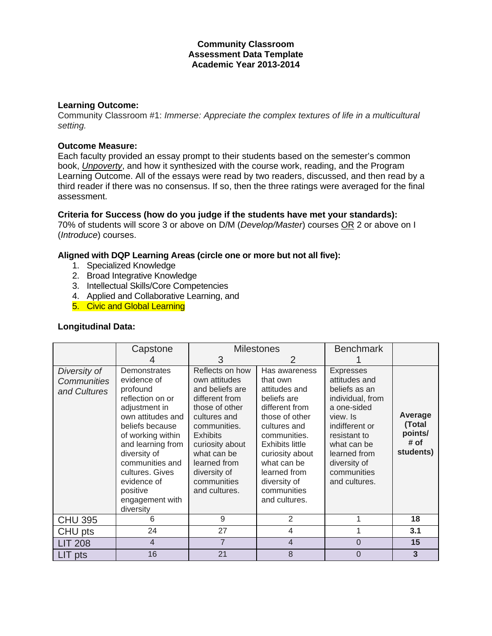### **Community Classroom Assessment Data Template Academic Year 2013-2014**

#### **Learning Outcome:**

Community Classroom #1: *Immerse: Appreciate the complex textures of life in a multicultural setting.*

# **Outcome Measure:**

Each faculty provided an essay prompt to their students based on the semester's common book, *Unpoverty*, and how it synthesized with the course work, reading, and the Program Learning Outcome. All of the essays were read by two readers, discussed, and then read by a third reader if there was no consensus. If so, then the three ratings were averaged for the final assessment.

#### **Criteria for Success (how do you judge if the students have met your standards):**

70% of students will score 3 or above on D/M (*Develop/Master*) courses OR 2 or above on I (*Introduce*) courses.

### **Aligned with DQP Learning Areas (circle one or more but not all five):**

- 1. Specialized Knowledge
- 2. Broad Integrative Knowledge
- 3. Intellectual Skills/Core Competencies
- 4. Applied and Collaborative Learning, and
- 5. Civic and Global Learning

#### **Longitudinal Data:**

|                                                    | Capstone                                                                                                                                                                                                                                                                        | <b>Milestones</b>                                                                                                                                                                                                                            |                                                                                                                                                                                                                                                           | <b>Benchmark</b>                                                                                                                                                                                                   |                                                   |
|----------------------------------------------------|---------------------------------------------------------------------------------------------------------------------------------------------------------------------------------------------------------------------------------------------------------------------------------|----------------------------------------------------------------------------------------------------------------------------------------------------------------------------------------------------------------------------------------------|-----------------------------------------------------------------------------------------------------------------------------------------------------------------------------------------------------------------------------------------------------------|--------------------------------------------------------------------------------------------------------------------------------------------------------------------------------------------------------------------|---------------------------------------------------|
|                                                    |                                                                                                                                                                                                                                                                                 | 3                                                                                                                                                                                                                                            | 2                                                                                                                                                                                                                                                         |                                                                                                                                                                                                                    |                                                   |
| Diversity of<br><b>Communities</b><br>and Cultures | Demonstrates<br>evidence of<br>profound<br>reflection on or<br>adjustment in<br>own attitudes and<br>beliefs because<br>of working within<br>and learning from<br>diversity of<br>communities and<br>cultures. Gives<br>evidence of<br>positive<br>engagement with<br>diversity | Reflects on how<br>own attitudes<br>and beliefs are<br>different from<br>those of other<br>cultures and<br>communities.<br><b>Exhibits</b><br>curiosity about<br>what can be<br>learned from<br>diversity of<br>communities<br>and cultures. | Has awareness<br>that own<br>attitudes and<br>beliefs are<br>different from<br>those of other<br>cultures and<br>communities.<br><b>Exhibits little</b><br>curiosity about<br>what can be<br>learned from<br>diversity of<br>communities<br>and cultures. | <b>Expresses</b><br>attitudes and<br>beliefs as an<br>individual, from<br>a one-sided<br>view. Is<br>indifferent or<br>resistant to<br>what can be<br>learned from<br>diversity of<br>communities<br>and cultures. | Average<br>(Total<br>points/<br># of<br>students) |
| <b>CHU 395</b>                                     | 6                                                                                                                                                                                                                                                                               | 9                                                                                                                                                                                                                                            | 2                                                                                                                                                                                                                                                         |                                                                                                                                                                                                                    | 18                                                |
| CHU pts                                            | 24                                                                                                                                                                                                                                                                              | 27                                                                                                                                                                                                                                           | 4                                                                                                                                                                                                                                                         |                                                                                                                                                                                                                    | 3.1                                               |
| <b>LIT 208</b>                                     | 4                                                                                                                                                                                                                                                                               | $\overline{7}$                                                                                                                                                                                                                               | $\overline{4}$                                                                                                                                                                                                                                            | $\overline{0}$                                                                                                                                                                                                     | 15                                                |
| LIT pts                                            | 16                                                                                                                                                                                                                                                                              | 21                                                                                                                                                                                                                                           | 8                                                                                                                                                                                                                                                         | 0                                                                                                                                                                                                                  | 3                                                 |